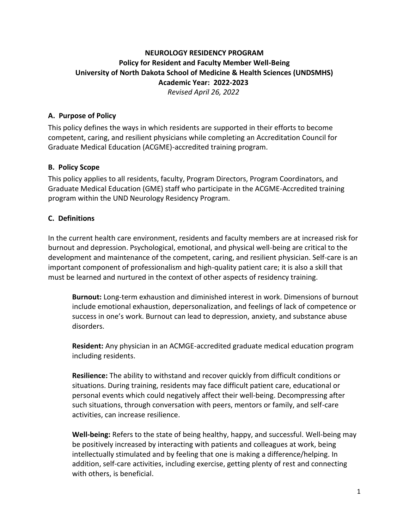# **NEUROLOGY RESIDENCY PROGRAM Policy for Resident and Faculty Member Well-Being University of North Dakota School of Medicine & Health Sciences (UNDSMHS) Academic Year: 2022-2023** *Revised April 26, 2022*

### **A. Purpose of Policy**

This policy defines the ways in which residents are supported in their efforts to become competent, caring, and resilient physicians while completing an Accreditation Council for Graduate Medical Education (ACGME)-accredited training program.

#### **B. Policy Scope**

This policy applies to all residents, faculty, Program Directors, Program Coordinators, and Graduate Medical Education (GME) staff who participate in the ACGME-Accredited training program within the UND Neurology Residency Program.

#### **C. Definitions**

In the current health care environment, residents and faculty members are at increased risk for burnout and depression. Psychological, emotional, and physical well-being are critical to the development and maintenance of the competent, caring, and resilient physician. Self-care is an important component of professionalism and high-quality patient care; it is also a skill that must be learned and nurtured in the context of other aspects of residency training.

**Burnout:** Long-term exhaustion and diminished interest in work. Dimensions of burnout include emotional exhaustion, depersonalization, and feelings of lack of competence or success in one's work. Burnout can lead to depression, anxiety, and substance abuse disorders.

**Resident:** Any physician in an ACMGE-accredited graduate medical education program including residents.

**Resilience:** The ability to withstand and recover quickly from difficult conditions or situations. During training, residents may face difficult patient care, educational or personal events which could negatively affect their well-being. Decompressing after such situations, through conversation with peers, mentors or family, and self-care activities, can increase resilience.

**Well-being:** Refers to the state of being healthy, happy, and successful. Well-being may be positively increased by interacting with patients and colleagues at work, being intellectually stimulated and by feeling that one is making a difference/helping. In addition, self-care activities, including exercise, getting plenty of rest and connecting with others, is beneficial.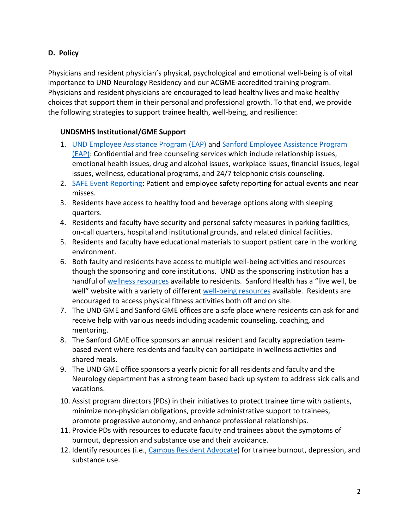# **D. Policy**

Physicians and resident physician's physical, psychological and emotional well-being is of vital importance to UND Neurology Residency and our ACGME-accredited training program. Physicians and resident physicians are encouraged to lead healthy lives and make healthy choices that support them in their personal and professional growth. To that end, we provide the following strategies to support trainee health, well-being, and resilience:

### **UNDSMHS Institutional/GME Support**

- 1. UND [Employee Assistance Program \(EAP\)](https://med.und.edu/residency-programs/employee-assistance-program.html) an[d Sanford Employee Assistance Program](https://internal.sanfordhealth.org/Departments/HumanResources/empexperience/Pages/Employee-Assistance-Program.aspx)  [\(EAP\):](https://internal.sanfordhealth.org/Departments/HumanResources/empexperience/Pages/Employee-Assistance-Program.aspx) Confidential and free counseling services which include relationship issues, emotional health issues, drug and alcohol issues, workplace issues, financial issues, legal issues, wellness, educational programs, and 24/7 telephonic crisis counseling.
- 2. [SAFE Event Reporting:](https://sanfordhealth.secure.force.com/SelectEvent/) Patient and employee safety reporting for actual events and near misses.
- 3. Residents have access to healthy food and beverage options along with sleeping quarters.
- 4. Residents and faculty have security and personal safety measures in parking facilities, on-call quarters, hospital and institutional grounds, and related clinical facilities.
- 5. Residents and faculty have educational materials to support patient care in the working environment.
- 6. Both faulty and residents have access to multiple well-being activities and resources though the sponsoring and core institutions. UND as the sponsoring institution has a handful of [wellness resources](https://med.und.edu/residency-programs/wellness-resources.html) available to residents. Sanford Health has a "live well, be well" website with a variety of different [well-being resources](https://internal.sanfordhealth.org/Departments/HumanResources/empexperience/Pages/default.aspx) available. Residents are encouraged to access physical fitness activities both off and on site.
- 7. The UND GME and Sanford GME offices are a safe place where residents can ask for and receive help with various needs including academic counseling, coaching, and mentoring.
- 8. The Sanford GME office sponsors an annual resident and faculty appreciation teambased event where residents and faculty can participate in wellness activities and shared meals.
- 9. The UND GME office sponsors a yearly picnic for all residents and faculty and the Neurology department has a strong team based back up system to address sick calls and vacations.
- 10. Assist program directors (PDs) in their initiatives to protect trainee time with patients, minimize non-physician obligations, provide administrative support to trainees, promote progressive autonomy, and enhance professional relationships.
- 11. Provide PDs with resources to educate faculty and trainees about the symptoms of burnout, depression and substance use and their avoidance.
- 12. Identify resources (i.e., [Campus Resident Advocate\)](https://med.und.edu/residency-programs/residents-advocate.html) for trainee burnout, depression, and substance use.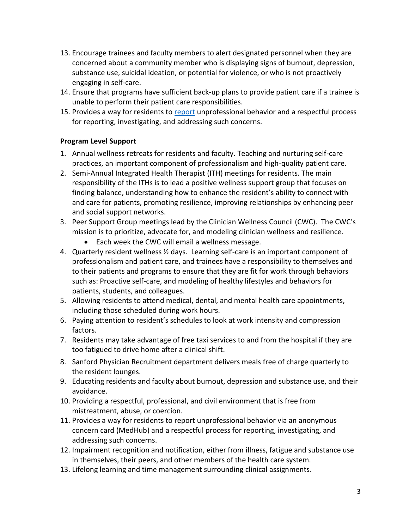- 13. Encourage trainees and faculty members to alert designated personnel when they are concerned about a community member who is displaying signs of burnout, depression, substance use, suicidal ideation, or potential for violence, or who is not proactively engaging in self-care.
- 14. Ensure that programs have sufficient back-up plans to provide patient care if a trainee is unable to perform their patient care responsibilities.
- 15. Provides a way for residents to [report](https://med.und.edu/residency-programs/voice-a-concern.html) unprofessional behavior and a respectful process for reporting, investigating, and addressing such concerns.

## **Program Level Support**

- 1. Annual wellness retreats for residents and faculty. Teaching and nurturing self-care practices, an important component of professionalism and high-quality patient care.
- 2. Semi-Annual Integrated Health Therapist (ITH) meetings for residents. The main responsibility of the ITHs is to lead a positive wellness support group that focuses on finding balance, understanding how to enhance the resident's ability to connect with and care for patients, promoting resilience, improving relationships by enhancing peer and social support networks.
- 3. Peer Support Group meetings lead by the Clinician Wellness Council (CWC). The CWC's mission is to prioritize, advocate for, and modeling clinician wellness and resilience.
	- Each week the CWC will email a wellness message.
- 4. Quarterly resident wellness ½ days. Learning self-care is an important component of professionalism and patient care, and trainees have a responsibility to themselves and to their patients and programs to ensure that they are fit for work through behaviors such as: Proactive self-care, and modeling of healthy lifestyles and behaviors for patients, students, and colleagues.
- 5. Allowing residents to attend medical, dental, and mental health care appointments, including those scheduled during work hours.
- 6. Paying attention to resident's schedules to look at work intensity and compression factors.
- 7. Residents may take advantage of free taxi services to and from the hospital if they are too fatigued to drive home after a clinical shift.
- 8. Sanford Physician Recruitment department delivers meals free of charge quarterly to the resident lounges.
- 9. Educating residents and faculty about burnout, depression and substance use, and their avoidance.
- 10. Providing a respectful, professional, and civil environment that is free from mistreatment, abuse, or coercion.
- 11. Provides a way for residents to report unprofessional behavior via an anonymous concern card (MedHub) and a respectful process for reporting, investigating, and addressing such concerns.
- 12. Impairment recognition and notification, either from illness, fatigue and substance use in themselves, their peers, and other members of the health care system.
- 13. Lifelong learning and time management surrounding clinical assignments.